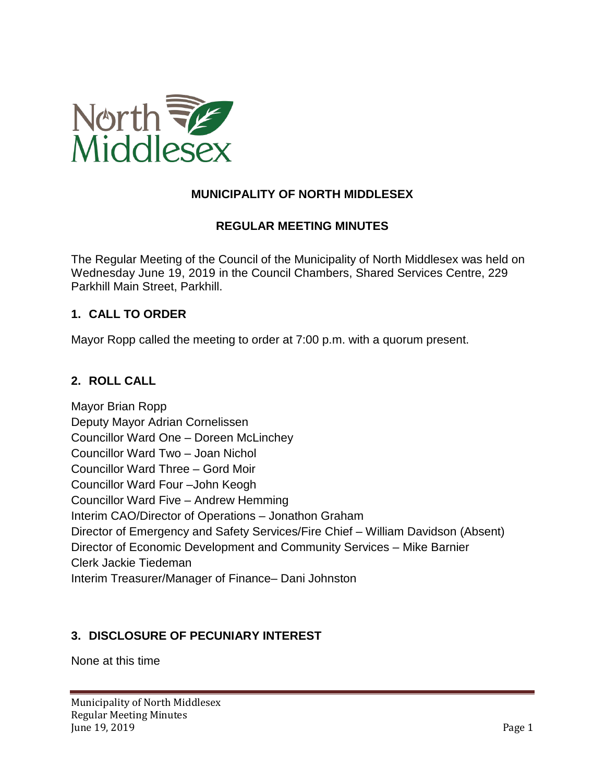

## **MUNICIPALITY OF NORTH MIDDLESEX**

#### **REGULAR MEETING MINUTES**

The Regular Meeting of the Council of the Municipality of North Middlesex was held on Wednesday June 19, 2019 in the Council Chambers, Shared Services Centre, 229 Parkhill Main Street, Parkhill.

#### **1. CALL TO ORDER**

Mayor Ropp called the meeting to order at 7:00 p.m. with a quorum present.

#### **2. ROLL CALL**

Mayor Brian Ropp Deputy Mayor Adrian Cornelissen Councillor Ward One – Doreen McLinchey Councillor Ward Two – Joan Nichol Councillor Ward Three – Gord Moir Councillor Ward Four –John Keogh Councillor Ward Five – Andrew Hemming Interim CAO/Director of Operations – Jonathon Graham Director of Emergency and Safety Services/Fire Chief – William Davidson (Absent) Director of Economic Development and Community Services – Mike Barnier Clerk Jackie Tiedeman Interim Treasurer/Manager of Finance– Dani Johnston

#### **3. DISCLOSURE OF PECUNIARY INTEREST**

None at this time

Municipality of North Middlesex Regular Meeting Minutes June 19, 2019 **Page 1**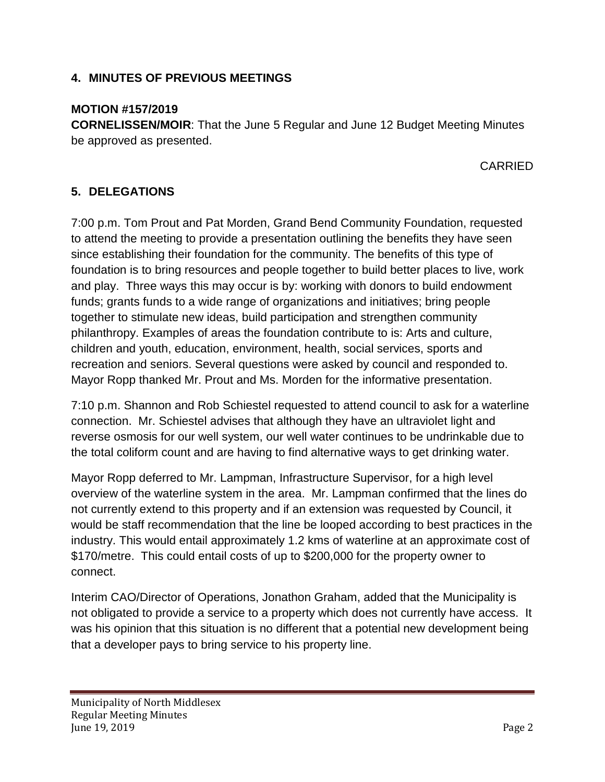### **4. MINUTES OF PREVIOUS MEETINGS**

#### **MOTION #157/2019**

**CORNELISSEN/MOIR**: That the June 5 Regular and June 12 Budget Meeting Minutes be approved as presented.

CARRIED

## **5. DELEGATIONS**

7:00 p.m. Tom Prout and Pat Morden, Grand Bend Community Foundation, requested to attend the meeting to provide a presentation outlining the benefits they have seen since establishing their foundation for the community. The benefits of this type of foundation is to bring resources and people together to build better places to live, work and play. Three ways this may occur is by: working with donors to build endowment funds; grants funds to a wide range of organizations and initiatives; bring people together to stimulate new ideas, build participation and strengthen community philanthropy. Examples of areas the foundation contribute to is: Arts and culture, children and youth, education, environment, health, social services, sports and recreation and seniors. Several questions were asked by council and responded to. Mayor Ropp thanked Mr. Prout and Ms. Morden for the informative presentation.

7:10 p.m. Shannon and Rob Schiestel requested to attend council to ask for a waterline connection. Mr. Schiestel advises that although they have an ultraviolet light and reverse osmosis for our well system, our well water continues to be undrinkable due to the total coliform count and are having to find alternative ways to get drinking water.

Mayor Ropp deferred to Mr. Lampman, Infrastructure Supervisor, for a high level overview of the waterline system in the area. Mr. Lampman confirmed that the lines do not currently extend to this property and if an extension was requested by Council, it would be staff recommendation that the line be looped according to best practices in the industry. This would entail approximately 1.2 kms of waterline at an approximate cost of \$170/metre. This could entail costs of up to \$200,000 for the property owner to connect.

Interim CAO/Director of Operations, Jonathon Graham, added that the Municipality is not obligated to provide a service to a property which does not currently have access. It was his opinion that this situation is no different that a potential new development being that a developer pays to bring service to his property line.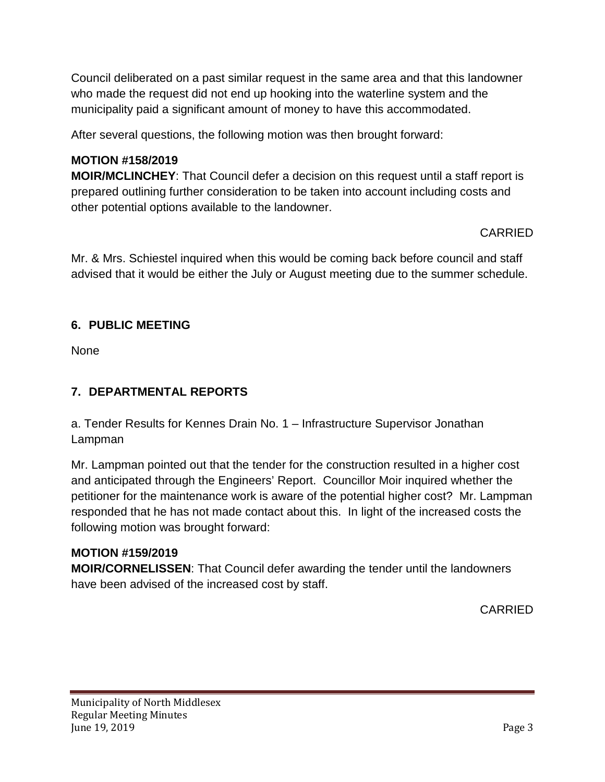Council deliberated on a past similar request in the same area and that this landowner who made the request did not end up hooking into the waterline system and the municipality paid a significant amount of money to have this accommodated.

After several questions, the following motion was then brought forward:

## **MOTION #158/2019**

**MOIR/MCLINCHEY**: That Council defer a decision on this request until a staff report is prepared outlining further consideration to be taken into account including costs and other potential options available to the landowner.

### CARRIED

Mr. & Mrs. Schiestel inquired when this would be coming back before council and staff advised that it would be either the July or August meeting due to the summer schedule.

## **6. PUBLIC MEETING**

None

## **7. DEPARTMENTAL REPORTS**

a. Tender Results for Kennes Drain No. 1 – Infrastructure Supervisor Jonathan Lampman

Mr. Lampman pointed out that the tender for the construction resulted in a higher cost and anticipated through the Engineers' Report. Councillor Moir inquired whether the petitioner for the maintenance work is aware of the potential higher cost? Mr. Lampman responded that he has not made contact about this. In light of the increased costs the following motion was brought forward:

### **MOTION #159/2019**

**MOIR/CORNELISSEN**: That Council defer awarding the tender until the landowners have been advised of the increased cost by staff.

CARRIED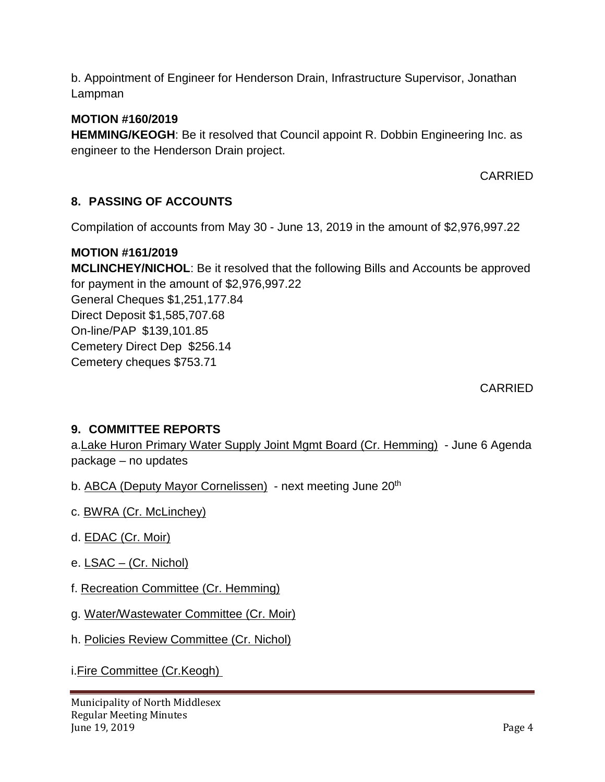b. Appointment of Engineer for Henderson Drain, Infrastructure Supervisor, Jonathan Lampman

#### **MOTION #160/2019**

**HEMMING/KEOGH**: Be it resolved that Council appoint R. Dobbin Engineering Inc. as engineer to the Henderson Drain project.

CARRIED

### **8. PASSING OF ACCOUNTS**

Compilation of accounts from May 30 - June 13, 2019 in the amount of \$2,976,997.22

#### **MOTION #161/2019**

**MCLINCHEY/NICHOL**: Be it resolved that the following Bills and Accounts be approved for payment in the amount of \$2,976,997.22 General Cheques \$1,251,177.84 Direct Deposit \$1,585,707.68 On-line/PAP \$139,101.85 Cemetery Direct Dep \$256.14 Cemetery cheques \$753.71

CARRIED

#### **9. COMMITTEE REPORTS**

a.Lake Huron Primary Water Supply Joint Mgmt Board (Cr. Hemming) - June 6 Agenda package – no updates

b. ABCA (Deputy Mayor Cornelissen) - next meeting June 20<sup>th</sup>

- c. BWRA (Cr. McLinchey)
- d. EDAC (Cr. Moir)
- e. LSAC (Cr. Nichol)
- f. Recreation Committee (Cr. Hemming)
- g. Water/Wastewater Committee (Cr. Moir)
- h. Policies Review Committee (Cr. Nichol)

i.Fire Committee (Cr.Keogh)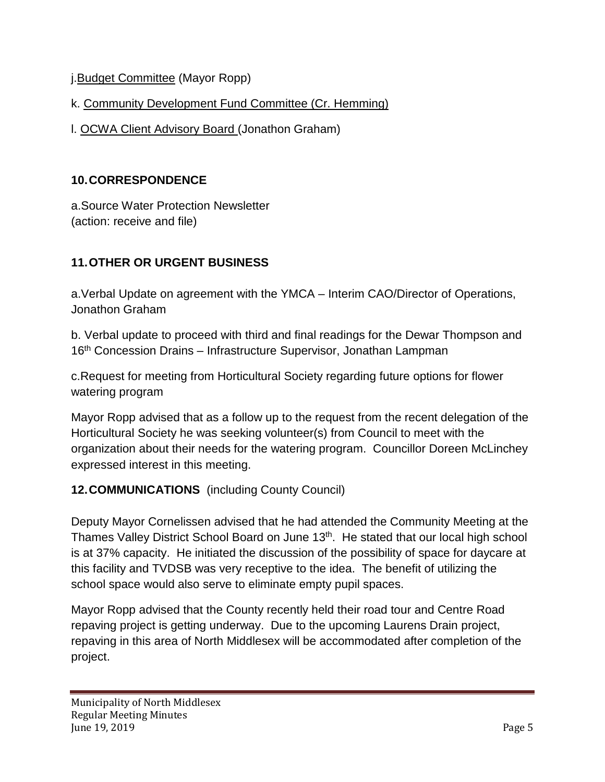j.Budget Committee (Mayor Ropp)

k. Community Development Fund Committee (Cr. Hemming)

l. OCWA Client Advisory Board (Jonathon Graham)

## **10.CORRESPONDENCE**

a.Source Water Protection Newsletter (action: receive and file)

# **11.OTHER OR URGENT BUSINESS**

a.Verbal Update on agreement with the YMCA – Interim CAO/Director of Operations, Jonathon Graham

b. Verbal update to proceed with third and final readings for the Dewar Thompson and 16th Concession Drains – Infrastructure Supervisor, Jonathan Lampman

c.Request for meeting from Horticultural Society regarding future options for flower watering program

Mayor Ropp advised that as a follow up to the request from the recent delegation of the Horticultural Society he was seeking volunteer(s) from Council to meet with the organization about their needs for the watering program. Councillor Doreen McLinchey expressed interest in this meeting.

## **12.COMMUNICATIONS** (including County Council)

Deputy Mayor Cornelissen advised that he had attended the Community Meeting at the Thames Valley District School Board on June 13<sup>th</sup>. He stated that our local high school is at 37% capacity. He initiated the discussion of the possibility of space for daycare at this facility and TVDSB was very receptive to the idea. The benefit of utilizing the school space would also serve to eliminate empty pupil spaces.

Mayor Ropp advised that the County recently held their road tour and Centre Road repaving project is getting underway. Due to the upcoming Laurens Drain project, repaving in this area of North Middlesex will be accommodated after completion of the project.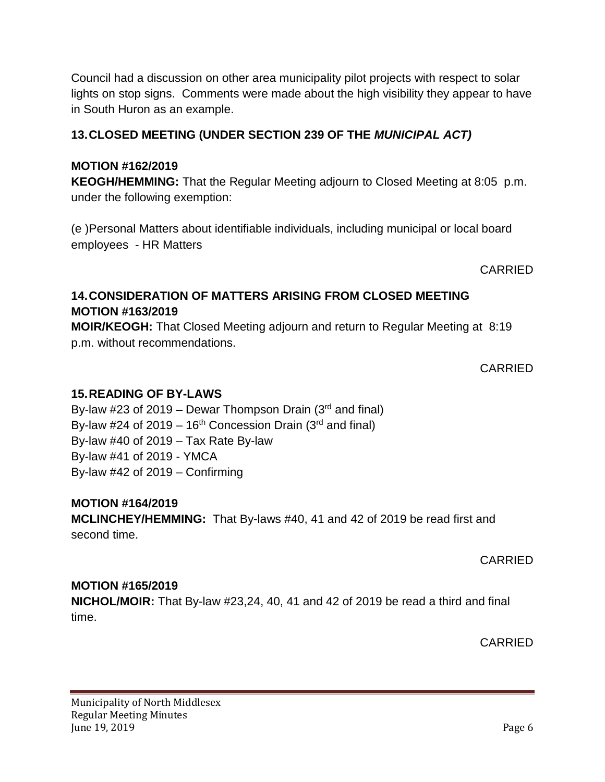Council had a discussion on other area municipality pilot projects with respect to solar lights on stop signs. Comments were made about the high visibility they appear to have in South Huron as an example.

## **13.CLOSED MEETING (UNDER SECTION 239 OF THE** *MUNICIPAL ACT)*

#### **MOTION #162/2019**

**KEOGH/HEMMING:** That the Regular Meeting adjourn to Closed Meeting at 8:05 p.m. under the following exemption:

(e )Personal Matters about identifiable individuals, including municipal or local board employees - HR Matters

CARRIED

## **14.CONSIDERATION OF MATTERS ARISING FROM CLOSED MEETING MOTION #163/2019**

**MOIR/KEOGH:** That Closed Meeting adjourn and return to Regular Meeting at 8:19 p.m. without recommendations.

CARRIED

#### **15.READING OF BY-LAWS**

By-law #23 of 2019 – Dewar Thompson Drain  $(3<sup>rd</sup>$  and final) By-law #24 of 2019 – 16<sup>th</sup> Concession Drain (3<sup>rd</sup> and final) By-law  $\#40$  of 2019 – Tax Rate By-law By-law #41 of 2019 - YMCA By-law #42 of 2019 – Confirming

### **MOTION #164/2019**

**MCLINCHEY/HEMMING:** That By-laws #40, 41 and 42 of 2019 be read first and second time.

CARRIED

### **MOTION #165/2019**

**NICHOL/MOIR:** That By-law #23,24, 40, 41 and 42 of 2019 be read a third and final time.

CARRIED